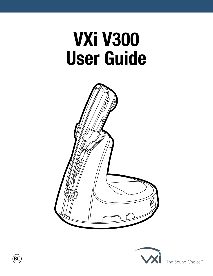# **VXi V300 User Guide**





The Sound Choice<sup>™</sup>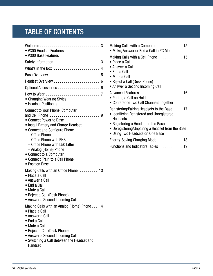# TABLE OF CONTENTS

| M<br>• V300 Headset Features<br>$\bullet$<br>• V300 Base Features<br>M                                                                                                                                                                                                                                                                                       |
|--------------------------------------------------------------------------------------------------------------------------------------------------------------------------------------------------------------------------------------------------------------------------------------------------------------------------------------------------------------|
| $\bullet$                                                                                                                                                                                                                                                                                                                                                    |
| $\bullet$<br>$\bullet$                                                                                                                                                                                                                                                                                                                                       |
| $\bullet$                                                                                                                                                                                                                                                                                                                                                    |
| $\bullet$                                                                                                                                                                                                                                                                                                                                                    |
| $\bullet$                                                                                                                                                                                                                                                                                                                                                    |
| Αс<br>• Changing Wearing Styles<br>$\bullet$<br>• Headset Positioning                                                                                                                                                                                                                                                                                        |
| Re<br>Connect to Your Phone, Computer<br>• Connect Power to Base<br>$\bullet$<br>• Install Battery and Charge Headset<br>• Connect and Configure Phone<br>- Office Phone<br>- Office Phone with EHS<br>Er<br>- Office Phone with L50 Lifter<br>Fu<br>- Analog (Home) Phone<br>• Connect to a Computer<br>• Connect (Pair) to a Cell Phone<br>• Position Base |
| Making Calls with an Office Phone  13<br>• Place a Call<br>• Answer a Call<br>• End a Call<br>• Mute a Call<br>• Reject a Call (Desk Phone)<br>• Answer a Second Incoming Call                                                                                                                                                                               |
| Making Calls with an Analog (Home) Phone 14<br>• Place a Call<br>• Answer a Call<br>• End a Call<br>• Mute a Call<br>• Reject a Call (Desk Phone)<br>• Answer a Second Incoming Call<br>• Switching a Call Between the Headset and<br>Handset                                                                                                                |

| Making Calls with a Computer $\dots\dots\dots\dots$ 15<br>• Make, Answer or End a Call in PC Mode                                                                           |
|-----------------------------------------------------------------------------------------------------------------------------------------------------------------------------|
| Making Calls with a Cell Phone  15<br>• Place a Call<br>• Answer a Call<br>• End a Call<br>• Mute a Call<br>• Reject a Call (Desk Phone)<br>• Answer a Second Incoming Call |
| Advanced Features  16<br>• Putting a Call on Hold<br>• Conference Two Call Channels Together                                                                                |
| Registering/Pairing Headsets to the Base  17<br>• Identifying Registered and Unregistered<br><b>Headsets</b>                                                                |
| • Registering a Headset to the Base<br>• Deregistering/Unpairing a Headset from the Base<br>• Using Two Headsets on One Base                                                |
| Energy-Saving Charging Mode  18                                                                                                                                             |
| Functions and Indicators Tables  19                                                                                                                                         |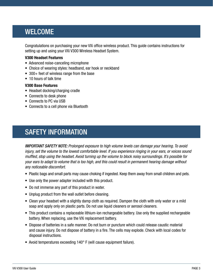# <span id="page-2-0"></span>WELCOME

Congratulations on purchasing your new VXi office wireless product. This guide contains instructions for setting up and using your VXi V300 Wireless Headset System.

#### **V300 Headset Features**

- Advanced noise-canceling microphone
- Choice of wearing styles: headband, ear hook or neckband
- 300+ feet of wireless range from the base
- 10 hours of talk time

#### **V300 Base Features**

- Headset docking/charging cradle
- Connects to desk phone
- Connects to PC via USB
- Connects to a cell phone via Bluetooth

# <span id="page-2-1"></span>SAFETY INFORMATION

*IMPORTANT SAFETY NOTE: Prolonged exposure to high volume levels can damage your hearing. To avoid injury, set the volume to the lowest comfortable level. If you experience ringing in your ears, or voices sound muffled, stop using the headset. Avoid turning up the volume to block noisy surroundings. It's possible for your ears to adapt to volume that is too high, and this could result in permanent hearing damage without any noticeable discomfort.*

- Plastic bags and small parts may cause choking if ingested. Keep them away from small children and pets.
- Use only the power adapter included with this product.
- Do not immerse any part of this product in water.
- Unplug product from the wall outlet before cleaning.
- Clean your headset with a slightly damp cloth as required. Dampen the cloth with only water or a mild soap and apply only on plastic parts. Do not use liquid cleaners or aerosol cleaners.
- This product contains a replaceable lithium-ion rechargeable battery. Use only the supplied rechargeable battery. When replacing, use the VXi replacement battery.
- Dispose of batteries in a safe manner. Do not burn or puncture which could release caustic material and cause injury. Do not dispose of battery in a fire. The cells may explode. Check with local codes for disposal instructions.
- Avoid temperatures exceeding 140° F (will cause equipment failure).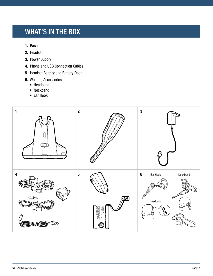# <span id="page-3-0"></span>WHAT'S IN THE BOX

- **1.** Base
- **2.** Headset
- **3.** Power Supply
- **4.** Phone and USB Connection Cables
- **5.** Headset Battery and Battery Door
- **6.** Wearing Accessories
	- Headband
	- Neckband
	- Ear Hook

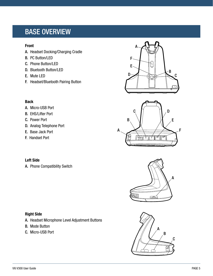# <span id="page-4-0"></span>BASE OVERVIEW

#### **Front**

- A. Headset Docking/Charging Cradle
- B. PC Button/LED
- C. Phone Button/LED
- D. Bluetooth Button/LED
- E. Mute LED
- F. Headset/Bluetooth Pairing Button

#### **Back**

- A. Micro-USB Port
- B. EHS/Lifter Port
- C. Power Port
- D. Analog Telephone Port
- E. Base Jack Port
- F. Handset Port

#### **Left Side**

A. Phone Compatibility Switch

### **Right Side**

- A. Headset Microphone Level Adjustment Buttons
- B. Mode Button
- C. Micro-USB Port







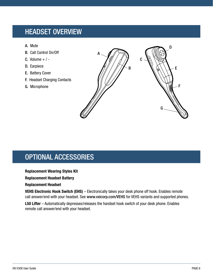# <span id="page-5-0"></span>HEADSET OVERVIEW

- A. Mute
- B. Call Control On/Off
- C. Volume  $+$  / -
- D. Earpiece
- E. Battery Cover
- F. Headset Charging Contacts
- G. Microphone



# <span id="page-5-1"></span>OPTIONAL ACCESSORIES

#### **Replacement Wearing Styles Kit**

#### **Replacement Headset Battery**

#### **Replacement Headset**

**VEHS Electronic Hook Switch (EHS)** – Electronically takes your desk phone off hook. Enables remote call answer/end with your headset. See [www.vxicorp.com/VEHS](http://www.vxicorp.com/VEHS) for VEHS variants and supported phones.

**L50 Lifter** – Automatically depresses/releases the handset hook switch of your desk phone. Enables remote call answer/end with your headset.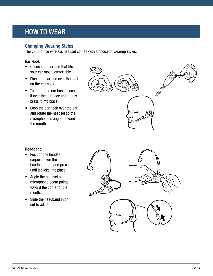# <span id="page-6-0"></span>HOW TO WEAR

### **Changing Wearing Styles**

The V300 office wireless headset comes with a choice of wearing styles:

#### **Ear Hook**

- Choose the ear bud that fits your ear most comfortably.
- Place the ear bud over the post on the ear hook.
- To attach the ear hook, place it over the earpiece and gently press it into place.
- Loop the ear hook over the ear and rotate the headset so the microphone is angled toward the mouth.



#### **Headband**

- Position the headset earpiece over the headband ring and press until it clicks into place.
- Angle the headset so the microphone boom points toward the corner of the mouth.
- Slide the headband in or out to adjust fit.

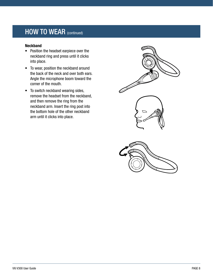# HOW TO WEAR (continued)

#### **Neckband**

- Position the headset earpiece over the neckband ring and press until it clicks into place.
- To wear, position the neckband around the back of the neck and over both ears. Angle the microphone boom toward the corner of the mouth.
- To switch neckband wearing sides, remove the headset from the neckband, and then remove the ring from the neckband arm. Insert the ring post into the bottom hole of the other neckband arm until it clicks into place.



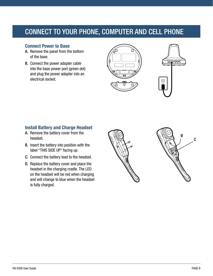# <span id="page-8-0"></span>CONNECT TO YOUR PHONE, COMPUTER AND CELL PHONE

### **Connect Power to Base**

- A. Remove the panel from the bottom of the base.
- B. Connect the power adapter cable into the base power port (green dot) and plug the power adapter into an electrical socket.





# **Install Battery and Charge Headset**

- A. Remove the battery cover from the headset.
- B. Insert the battery into position with the label "THIS SIDE UP" facing up.
- C. Connect the battery lead to the headset.
- D. Replace the battery cover and place the headset in the charging cradle. The LED on the headset will be red when charging and will change to blue when the headset is fully charged.



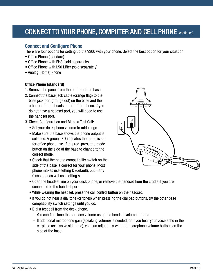# CONNECT TO YOUR PHONE, COMPUTER AND CELL PHONE (continued)

#### **Connect and Configure Phone**

There are four options for setting up the V300 with your phone. Select the best option for your situation:

- Office Phone (standard)
- Office Phone with EHS (sold separately)
- Office Phone with L50 Lifter (sold separately)
- Analog (Home) Phone

#### **Office Phone (standard)**

- 1. Remove the panel from the bottom of the base.
- 2. Connect the base jack cable (orange flag) to the base jack port (orange dot) on the base and the other end to the headset port of the phone. If you do not have a headset port, you will need to use the handset port.
- 3. Check Configuration and Make a Test Call:
	- Set your desk phone volume to mid-range.
	- Make sure the base shows the phone output is selected. A green LED indicates the mode is set for office phone use. If it is red, press the mode button on the side of the base to change to the correct mode.
	- Check that the phone compatibility switch on the side of the base is correct for your phone. Most phone makes use setting D (default), but many Cisco phones will use setting A.



- Open the headset line on your desk phone, or remove the handset from the cradle if you are connected to the handset port.
- While wearing the headset, press the call control button on the headset.
- If you do not hear a dial tone (or tones) when pressing the dial pad buttons, try the other base compatibility switch settings until you do.
- Dial a test call from the desk phone.
	- You can fine-tune the earpiece volume using the headset volume buttons.
	- If additional microphone gain (speaking volume) is needed, or if you hear your voice echo in the earpiece (excessive side tone), you can adjust this with the microphone volume buttons on the side of the base.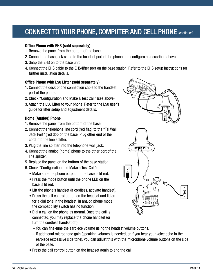# CONNECT TO YOUR PHONE, COMPUTER AND CELL PHONE (continued)

#### **Office Phone with EHS (sold separately)**

- 1. Remove the panel from the bottom of the base.
- 2. Connect the base jack cable to the headset port of the phone and configure as described above.
- 3. Snap the EHS on to the base unit.
- 4. Connect the EHS cable to the EHS/lifter port on the base station. Refer to the EHS setup instructions for further installation details.

#### **Office Phone with L50 Lifter (sold separately)**

- 1. Connect the desk phone connection cable to the handset port of the phone.
- 2. Check "Configuration and Make a Test Call" (see above).
- 3. Attach the L50 Lifter to your phone. Refer to the L50 user's guide for lifter setup and adjustment details.

#### **Home (Analog) Phone**

- 1. Remove the panel from the bottom of the base.
- 2. Connect the telephone line cord (red flag) to the "Tel Wall Jack Port" (red dot) on the base. Plug other end of the cord into the line splitter.
- 3. Plug the line splitter into the telephone wall jack.
- 4. Connect the analog (home) phone to the other port of the line splitter.
- 5. Replace the panel on the bottom of the base station.
- 6. Check "Configuration and Make a Test Call":
	- Make sure the phone output on the base is lit red.
	- Press the mode button until the phone LED on the base is lit red.
	- Lift the phone's handset (if cordless, activate handset).
	- Press the call control button on the headset and listen for a dial tone in the headset. In analog phone mode, the compatibility switch has no function.
	- Dial a call on the phone as normal. Once the call is connected, you may replace the phone handset (or turn the cordless handset off).



- You can fine-tune the earpiece volume using the headset volume buttons.
- If additional microphone gain (speaking volume) is needed, or if you hear your voice echo in the earpiece (excessive side tone), you can adjust this with the microphone volume buttons on the side of the base.
- Press the call control button on the headset again to end the call.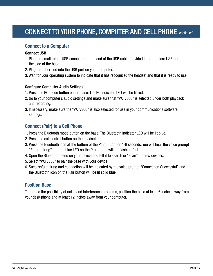# CONNECT TO YOUR PHONE, COMPUTER AND CELL PHONE (continued)

#### **Connect to a Computer**

#### **Connect USB**

- 1. Plug the small micro-USB connector on the end of the USB cable provided into the micro USB port on the side of the base.
- 2. Plug the other end into the USB port on your computer.
- 3. Wait for your operating system to indicate that it has recognized the headset and that it is ready to use.

#### **Configure Computer Audio Settings**

- 1. Press the PC mode button on the base. The PC indicator LED will be lit red.
- 2. Go to your computer's audio settings and make sure that "VXi V300" is selected under both playback and recording.
- 3. If necessary, make sure the "VXi V300" is also selected for use in your communications software settings.

### **Connect (Pair) to a Cell Phone**

- 1. Press the Bluetooth mode button on the base. The Bluetooth indicator LED will be lit blue.
- 2. Press the call control button on the headset.
- 3. Press the Bluetooth icon at the bottom of the Pair button for 4-6 seconds. You will hear the voice prompt "Enter pairing" and the blue LED on the Pair button will be flashing fast.
- 4. Open the Bluetooth menu on your device and tell it to search or "scan" for new devices.
- 5. Select "VXi V300" to pair the base with your device.
- 6. Successful pairing and connection will be indicated by the voice prompt "Connection Successful" and the Bluetooth icon on the Pair button will be lit solid blue.

#### **Position Base**

To reduce the possibility of noise and interference problems, position the base at least 6 inches away from your desk phone and at least 12 inches away from your computer.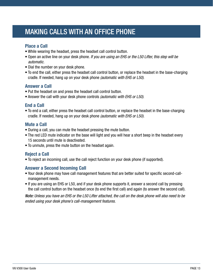# <span id="page-12-0"></span>MAKING CALLS WITH AN OFFICE PHONE

### **Place a Call**

- While wearing the headset, press the headset call control button.
- Open an active line on your desk phone. *If you are using an EHS or the L50 Lifter, this step will be automatic.*
- Dial the number on your desk phone.
- To end the call, either press the headset call control button, or replace the headset in the base-charging cradle. If needed, hang up on your desk phone *(automatic with EHS or L50)*.

### **Answer a Call**

- Put the headset on and press the headset call control button.
- Answer the call with your desk phone controls *(automatic with EHS or L50)*.

# **End a Call**

• To end a call, either press the headset call control button, or replace the headset in the base-charging cradle. If needed, hang up on your desk phone *(automatic with EHS or L50).*

### **Mute a Call**

- During a call, you can mute the headset pressing the mute button.
- The red LED mute indicator on the base will light and you will hear a short beep in the headset every 15 seconds until mute is deactivated.
- To unmute, press the mute button on the headset again.

### **Reject a Call**

• To reject an incoming call, use the call reject function on your desk phone (if supported).

### **Answer a Second Incoming Call**

- Your desk phone may have call management features that are better suited for specific second-callmanagement needs.
- If you are using an EHS or L50, and if your desk phone supports it, answer a second call by pressing the call control button on the headset once (to end the first call) and again (to answer the second call).

*Note: Unless you have an EHS or the L50 Lifter attached, the call on the desk phone will also need to be ended using your desk phone's call-management features.*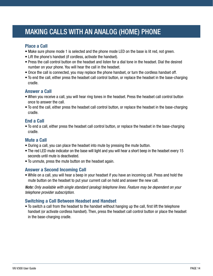# <span id="page-13-0"></span>MAKING CALLS WITH AN ANALOG (HOME) PHONE

### **Place a Call**

- Make sure phone mode 1 is selected and the phone mode LED on the base is lit red, not green.
- Lift the phone's handset (if cordless, activate the handset).
- Press the call control button on the headset and listen for a dial tone in the headset. Dial the desired number on your phone. You will hear the call in the headset.
- Once the call is connected, you may replace the phone handset, or turn the cordless handset off.
- To end the call, either press the headset call control button, or replace the headset in the base-charging cradle.

#### **Answer a Call**

- When you receive a call, you will hear ring tones in the headset. Press the headset call control button once to answer the call.
- To end the call, either press the headset call control button, or replace the headset in the base-charging cradle.

### **End a Call**

• To end a call, either press the headset call control button, or replace the headset in the base-charging cradle.

### **Mute a Call**

- During a call, you can place the headset into mute by pressing the mute button.
- The red LED mute indicator on the base will light and you will hear a short beep in the headset every 15 seconds until mute is deactivated.
- To unmute, press the mute button on the headset again.

### **Answer a Second Incoming Call**

• While on a call, you will hear a beep in your headset if you have an incoming call. Press and hold the mute button on the headset to put your current call on hold and answer the new call.

*Note: Only available with single standard (analog) telephone lines. Feature may be dependent on your telephone provider subscription.*

### **Switching a Call Between Headset and Handset**

• To switch a call from the headset to the handset without hanging up the call, first lift the telephone handset (or activate cordless handset). Then, press the headset call control button or place the headset in the base-charging cradle.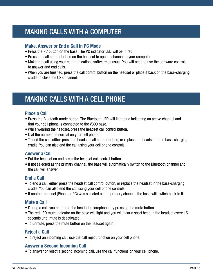# <span id="page-14-0"></span>MAKING CALLS WITH A COMPUTER

#### **Make, Answer or End a Call in PC Mode**

- Press the PC button on the base. The PC indicator LED will be lit red.
- Press the call control button on the headset to open a channel to your computer.
- Make the call using your communications software as usual. You will need to use the software controls to answer and end calls.
- When you are finished, press the call control button on the headset or place it back on the base-charging cradle to close the USB channel.

# <span id="page-14-1"></span>MAKING CALLS WITH A CELL PHONE

### **Place a Call**

- Press the Bluetooth mode button. The Bluetooth LED will light blue indicating an active channel and that your cell phone is connected to the V300 base.
- While wearing the headset, press the headset call control button.
- Dial the number as normal on your cell phone.
- To end the call, either press the headset call control button, or replace the headset in the base-charging cradle. You can also end the call using your cell phone controls.

### **Answer a Call**

- Put the headset on and press the headset call control button.
- If not selected as the primary channel, the base will automatically switch to the Bluetooth channel and the call will answer.

### **End a Call**

- To end a call, either press the headset call control button, or replace the headset in the base-charging cradle. You can also end the call using your cell phone controls.
- If another channel (Phone or PC) was selected as the primary channel, the base will switch back to it.

### **Mute a Call**

- During a call, you can mute the headset microphone by pressing the mute button.
- The red LED mute indicator on the base will light and you will hear a short beep in the headset every 15 seconds until mute is deactivated.
- To unmute, press the mute button on the headset again.

### **Reject a Call**

• To reject an incoming call, use the call reject function on your cell phone.

### **Answer a Second Incoming Call**

• To answer or reject a second incoming call, use the call functions on your cell phone.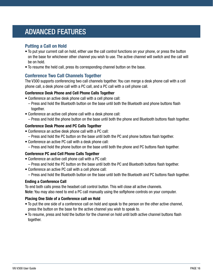# <span id="page-15-0"></span>ADVANCED FEATURES

### **Putting a Call on Hold**

- To put your current call on hold, either use the call control functions on your phone, or press the button on the base for whichever other channel you wish to use. The active channel will switch and the call will be on hold.
- To resume the held call, press its corresponding channel button on the base.

#### **Conference Two Call Channels Together**

The V300 supports conferencing two call channels together. You can merge a desk phone call with a cell phone call, a desk phone call with a PC call, and a PC call with a cell phone call.

#### **Conference Desk Phone and Cell Phone Calls Together**

- Conference an active desk phone call with a cell phone call:
	- Press and hold the Bluetooth button on the base until both the Bluetooth and phone buttons flash together.
- Conference an active cell phone call with a desk phone call:
	- Press and hold the phone button on the base until both the phone and Bluetooth buttons flash together.

#### **Conference Desk Phone and PC Calls Together**

- Conference an active desk phone call with a PC call:
- Press and hold the PC button on the base until both the PC and phone buttons flash together.
- Conference an active PC call with a desk phone call:
	- Press and hold the phone button on the base until both the phone and PC buttons flash together.

#### **Conference PC and Cell Phone Calls Together**

- Conference an active cell phone call with a PC call:
	- Press and hold the PC button on the base until both the PC and Bluetooth buttons flash together.
- Conference an active PC call with a cell phone call:
	- Press and hold the Bluetooth button on the base until both the Bluetooth and PC buttons flash together.

#### **Ending a Conference Call**

To end both calls press the headset call control button. This will close all active channels.

Note: You may also need to end a PC call manually using the softphone controls on your computer.

#### **Placing One Side of a Conference call on Hold**

- To put the one side of a conference call on hold and speak to the person on the other active channel, press the button on the base for the active channel you wish to speak to.
- To resume, press and hold the button for the channel on hold until both active channel buttons flash together.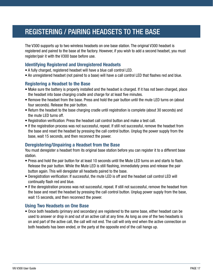# <span id="page-16-0"></span>REGISTERING / PAIRING HEADSETS TO THE BASE

The V300 supports up to two wireless headsets on one base station. The original V300 headset is registered and paired to the base at the factory. However, if you wish to add a second headset, you must register/pair it with the V300 base before use.

### **Identifying Registered and Unregistered Headsets**

- A fully charged, registered headset will have a blue call control LED.
- An unregistered headset (not paired to a base) will have a call control LED that flashes red and blue.

#### **Registering a Headset to the Base**

- Make sure the battery is properly installed and the headset is charged. If it has not been charged, place the headset into base charging cradle and charge for at least five minutes.
- Remove the headset from the base. Press and hold the pair button until the mute LED turns on (about four seconds). Release the pair button.
- Return the headset to the base charging cradle until registration is complete (about 30 seconds) and the mute LED turns off.
- Registration verification: Press the headset call control button and make a test call.
- If the registration process was not successful, repeat. If still not successful, remove the headset from the base and reset the headset by pressing the call control button. Unplug the power supply from the base, wait 15 seconds, and then reconnect the power.

### **Deregistering/Unpairing a Headset from the Base**

You must deregister a headset from its original base station before you can register it to a different base station.

- Press and hold the pair button for at least 10 seconds until the Mute LED turns on and starts to flash. Release the pair button. While the Mute LED is still flashing, immediately press and release the pair button again. This will deregister all headsets paired to the base.
- Deregistration verification: If successful, the mute LED is off and the headset call control LED will continually flash red and blue.
- If the deregistration process was not successful, repeat. If still not successful, remove the headset from the base and reset the headset by pressing the call control button. Unplug power supply from the base, wait 15 seconds, and then reconnect the power.

#### **Using Two Headsets on One Base**

• Once both headsets (primary and secondary) are registered to the same base, either headset can be used to answer or drop in and out of an active call at any time. As long as one of the two headsets is on and part of the active call, the call will not end. The call will only end when the active connection on both headsets has been ended, or the party at the opposite end of the call hangs up.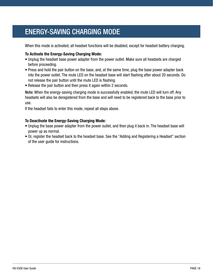# <span id="page-17-0"></span>ENERGY-SAVING CHARGING MODE

When this mode is activated, all headset functions will be disabled, except for headset battery charging.

#### **To Activate the Energy-Saving Charging Mode:**

- Unplug the headset base power adapter from the power outlet. Make sure all headsets are charged before proceeding.
- Press and hold the pair button on the base, and, at the same time, plug the base power adapter back into the power outlet. The mute LED on the headset base will start flashing after about 20 seconds. Do not release the pair button until the mute LED is flashing.
- Release the pair button and then press it again within 2 seconds.

Note: When the energy-saving charging mode is successfully enabled, the mute LED will turn off. Any headsets will also be deregistered from the base and will need to be registered back to the base prior to use.

If the headset fails to enter this mode, repeat all steps above.

#### **To Deactivate the Energy-Saving Charging Mode:**

- Unplug the base power adapter from the power outlet, and then plug it back in. The headset base will power up as normal.
- Or, register the headset back to the headset base. See the "Adding and Registering a Headset" section of the user guide for instructions.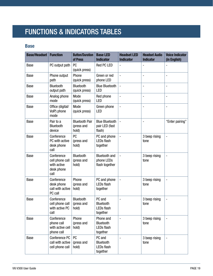# <span id="page-18-0"></span>FUNCTIONS & INDICATORS TABLES

### **Base**

| <b>Base/Headset</b> | <b>Function</b>                                                    | <b>Button/Duration</b><br>of Press           | <b>Base LED</b><br><b>Indicator</b>                  | <b>Headset LED</b><br><b>Indicator</b> | <b>Headset Audio</b><br><b>Indicator</b> | <b>Voice Indicator</b><br>(in English) |
|---------------------|--------------------------------------------------------------------|----------------------------------------------|------------------------------------------------------|----------------------------------------|------------------------------------------|----------------------------------------|
| <b>Base</b>         | PC output path                                                     | PC<br>(quick press)                          | <b>Red PC LED</b>                                    | $\overline{a}$                         | $\overline{\phantom{a}}$                 | $\overline{a}$                         |
| <b>Base</b>         | Phone output<br>path                                               | Phone<br>(quick press)                       | Green or red<br>phone LED                            | $\overline{\phantom{0}}$               | $\overline{\phantom{m}}$                 | $\overline{a}$                         |
| <b>Base</b>         | Bluetooth<br>output path                                           | Bluetooth<br>(quick press)                   | <b>Blue Bluetooth</b><br>LED                         | $\overline{a}$                         | $\overline{\phantom{m}}$                 | $\overline{a}$                         |
| <b>Base</b>         | Analog phone<br>mode                                               | Mode<br>(quick press)                        | Red phone<br>LED                                     | $\overline{\phantom{0}}$               | $\overline{a}$                           | $\overline{a}$                         |
| Base                | Office (digital/<br>VoIP) phone<br>mode                            | Mode<br>(quick press)                        | Green phone<br><b>LED</b>                            | $\qquad \qquad \blacksquare$           | $\qquad \qquad \blacksquare$             | $\overline{a}$                         |
| <b>Base</b>         | Pair to a<br><b>Bluetooth</b><br>device                            | <b>Bluetooth Pair</b><br>(press and<br>hold) | <b>Blue Bluetooth</b><br>pair LED (fast<br>flash)    | $\overline{\phantom{0}}$               |                                          | "Enter pairing"                        |
| Base                | Conference<br>PC with active<br>desk phone<br>call                 | <b>PC</b><br>(press and<br>hold)             | PC and phone<br><b>LEDs flash</b><br>together        | $\blacksquare$                         | 3 beep rising<br>tone                    | $\overline{a}$                         |
| Base                | Conference<br>cell phone call<br>with active<br>desk phone<br>call | Bluetooth<br>(press and<br>hold)             | <b>Bluetooth and</b><br>phone LEDs<br>flash together | $\qquad \qquad \blacksquare$           | 3 beep rising<br>tone                    | $\overline{\phantom{a}}$               |
| <b>Base</b>         | Conference<br>desk phone<br>call with active<br>PC call            | Phone<br>(press and<br>hold)                 | PC and phone<br><b>LEDs flash</b><br>together        | -                                      | 3 beep rising<br>tone                    | $\overline{a}$                         |
| Base                | Conference<br>cell phone call<br>with active PC<br>call            | Bluetooth<br>(press and<br>hold)             | PC and<br>Bluetooth<br><b>LEDs flash</b><br>together | $\overline{a}$                         | 3 beep rising<br>tone                    | $\overline{a}$                         |
| Base                | Conference<br>phone call<br>with active cell<br>phone call         | Phone<br>(press and<br>hold)                 | Phone and<br>Bluetooth<br>LEDs flash<br>together     | $\blacksquare$                         | 3 beep rising<br>tone                    | $\overline{\phantom{a}}$               |
| Base                | Conference PC<br>call with active<br>cell phone call               | <b>PC</b><br>(press and<br>hold)             | PC and<br>Bluetooth<br>LEDs flash<br>together        | -                                      | 3 beep rising<br>tone                    | $\qquad \qquad \blacksquare$           |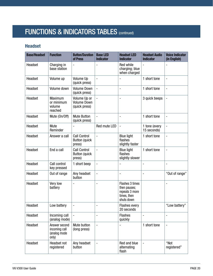# FUNCTIONS & INDICATORS TABLES (CONTINUED)

# **Headset**

| <b>Base/Headset</b> | <b>Function</b>                                         | <b>Button/Duration</b><br>of Press                    | <b>Base LED</b><br><b>Indicator</b> | <b>Headset LED</b><br><b>Indicator</b>                                         | <b>Headset Audio</b><br><b>Indicator</b> | <b>Voice Indicator</b><br>(in English) |
|---------------------|---------------------------------------------------------|-------------------------------------------------------|-------------------------------------|--------------------------------------------------------------------------------|------------------------------------------|----------------------------------------|
| Headset             | Charging in<br>base station                             | $\overline{\phantom{0}}$                              |                                     | Red while<br>charging; blue<br>when charged                                    |                                          |                                        |
| Headset             | Volume up                                               | Volume Up<br>(quick press)                            | $\overline{\phantom{a}}$            |                                                                                | 1 short tone                             | $\overline{a}$                         |
| Headset             | Volume down                                             | <b>Volume Down</b><br>(quick press)                   | $\overline{a}$                      | $\overline{a}$                                                                 | 1 short tone                             | $\overline{\phantom{a}}$               |
| Headset             | Maximum<br>or minimum<br>volume<br>reached              | Volume Up or<br><b>Volume Down</b><br>(quick press)   |                                     | $\overline{a}$                                                                 | 3 quick beeps                            |                                        |
| Headset             | Mute (On/Off)                                           | <b>Mute Button</b><br>(quick press)                   | $\overline{\phantom{a}}$            |                                                                                | 1 short tone                             | $\overline{a}$                         |
| Headset             | Mute<br>Reminder                                        |                                                       | Red mute LED                        | $\overline{\phantom{0}}$                                                       | 1 tone (every<br>15 seconds)             |                                        |
| Headset             | Answer a call                                           | <b>Call Control</b><br><b>Button (quick</b><br>press) | $\overline{\phantom{a}}$            | <b>Blue light</b><br>flashes<br>slightly faster                                | 1 short tone                             |                                        |
| Headset             | End a call                                              | <b>Call Control</b><br><b>Button (quick</b><br>press) |                                     | <b>Blue light</b><br>flashes<br>slightly slower                                | 1 short tone                             |                                        |
| Headset             | Call control<br>key pressed                             | 1 short beep                                          | $\overline{a}$                      |                                                                                | ÷                                        | $\overline{a}$                         |
| Headset             | Out of range                                            | Any headset<br>button                                 | $\qquad \qquad \blacksquare$        | $\overline{a}$                                                                 | -                                        | "Out of range"                         |
| Headset             | Very low<br>battery                                     |                                                       |                                     | Flashes 3 times<br>then pauses;<br>repeats 3 more<br>times, then<br>shuts down |                                          |                                        |
| Headset             | Low battery                                             | $\qquad \qquad \blacksquare$                          | $\blacksquare$                      | <b>Flashes every</b><br>20 seconds                                             |                                          | "Low battery"                          |
| Headset             | Incoming call<br>(analog mode)                          | $\overline{\phantom{a}}$                              | ٠                                   | <b>Flashes</b><br>quickly                                                      | -                                        | ٠                                      |
| Headset             | Answer second<br>incoming call<br>(analog mode<br>only) | Mute button<br>(long press)                           | $\overline{\phantom{a}}$            |                                                                                | 1 short tone                             | $\overline{a}$                         |
| Headset             | Headset not<br>registered                               | Any headset<br>button                                 | $\blacksquare$                      | Red and blue<br>alternating<br>flash                                           | $\overline{a}$                           | "Not<br>registered"                    |